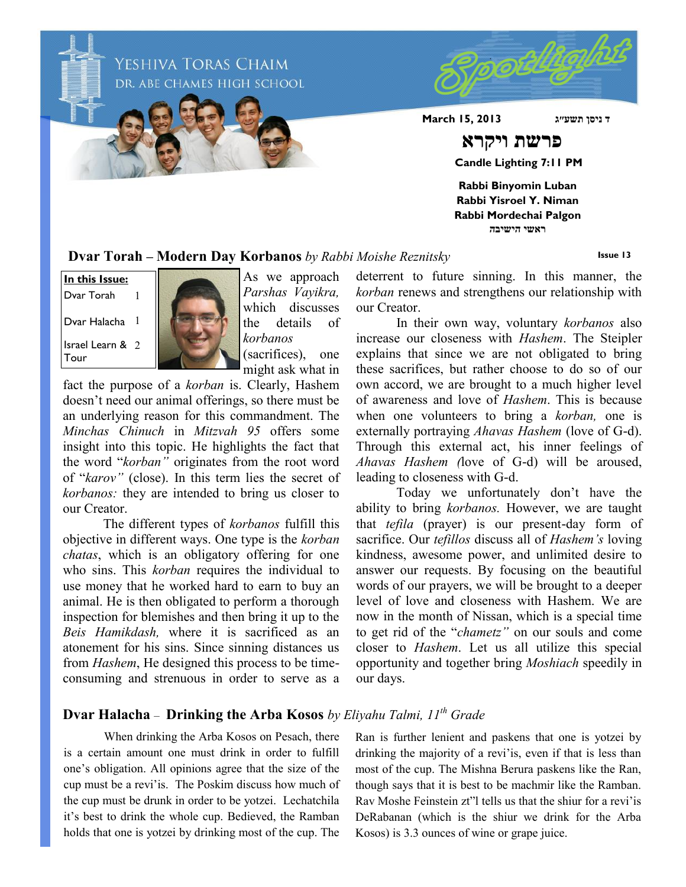YESHIVA TORAS CHAIM DR. ABE CHAMES HIGH SCHOOL **ד ניסן תשע״ג 2013 15, March פרשת ויקרא Candle Lighting 7:11 PM Rabbi Binyomin Luban Rabbi Yisroel Y. Niman Rabbi Mordechai Palgon ראשי הישיבה**

**Dvar Torah – Modern Day Korbanos** *by Rabbi Moishe Reznitsky*

**Issue 13**

Israel Learn & 2 Tour **In this Issue:** Dvar Torah Dvar Halacha 1 1



As we approach *Parshas Vayikra,*  which discusses the details of *korbanos* (sacrifices), one might ask what in

fact the purpose of a *korban* is. Clearly, Hashem doesn't need our animal offerings, so there must be an underlying reason for this commandment. The *Minchas Chinuch* in *Mitzvah 95* offers some insight into this topic. He highlights the fact that the word "*korban"* originates from the root word of "*karov"* (close). In this term lies the secret of *korbanos:* they are intended to bring us closer to our Creator.

The different types of *korbanos* fulfill this objective in different ways. One type is the *korban chatas*, which is an obligatory offering for one who sins. This *korban* requires the individual to use money that he worked hard to earn to buy an animal. He is then obligated to perform a thorough inspection for blemishes and then bring it up to the *Beis Hamikdash,* where it is sacrificed as an atonement for his sins. Since sinning distances us from *Hashem*, He designed this process to be timeconsuming and strenuous in order to serve as a

deterrent to future sinning. In this manner, the *korban* renews and strengthens our relationship with our Creator.

In their own way, voluntary *korbanos* also increase our closeness with *Hashem*. The Steipler explains that since we are not obligated to bring these sacrifices, but rather choose to do so of our own accord, we are brought to a much higher level of awareness and love of *Hashem*. This is because when one volunteers to bring a *korban,* one is externally portraying *Ahavas Hashem* (love of G-d). Through this external act, his inner feelings of *Ahavas Hashem (*love of G-d) will be aroused, leading to closeness with G-d.

Today we unfortunately don't have the ability to bring *korbanos.* However, we are taught that *tefila* (prayer) is our present-day form of sacrifice. Our *tefillos* discuss all of *Hashem's* loving kindness, awesome power, and unlimited desire to answer our requests. By focusing on the beautiful words of our prayers, we will be brought to a deeper level of love and closeness with Hashem. We are now in the month of Nissan, which is a special time to get rid of the "*chametz"* on our souls and come closer to *Hashem*. Let us all utilize this special opportunity and together bring *Moshiach* speedily in our days.

## **Dvar Halacha** – **Drinking the Arba Kosos** *by Eliyahu Talmi, 11th Grade*

When drinking the Arba Kosos on Pesach, there is a certain amount one must drink in order to fulfill one's obligation. All opinions agree that the size of the cup must be a revi'is. The Poskim discuss how much of the cup must be drunk in order to be yotzei. Lechatchila it's best to drink the whole cup. Bedieved, the Ramban holds that one is yotzei by drinking most of the cup. The

Ran is further lenient and paskens that one is yotzei by drinking the majority of a revi'is, even if that is less than most of the cup. The Mishna Berura paskens like the Ran, though says that it is best to be machmir like the Ramban. Rav Moshe Feinstein zt"l tells us that the shiur for a revi'is DeRabanan (which is the shiur we drink for the Arba Kosos) is 3.3 ounces of wine or grape juice.